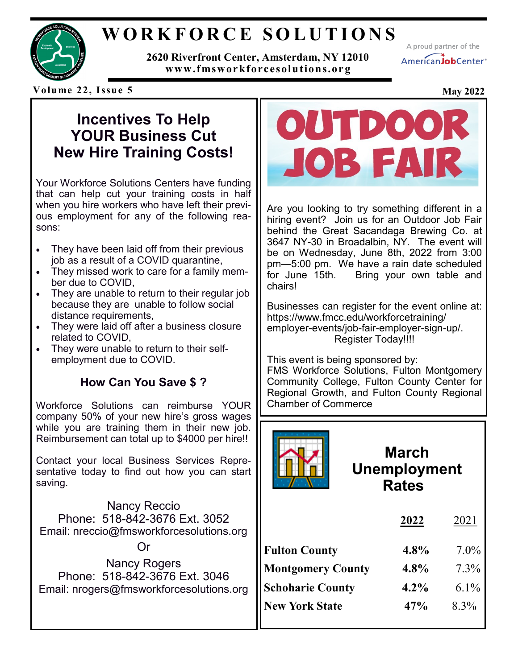

### **W O R K F O R C E S O L U T I O N S**

**2620 Riverfront Center, Amsterdam, NY 12010 www.fmsworkforcesolutions.or g**

A proud partner of the AmericanJobCenter\*

**Volume 22, Issue 5 May 2022**

#### **Incentives To Help YOUR Business Cut New Hire Training Costs!**

Your Workforce Solutions Centers have funding that can help cut your training costs in half when you hire workers who have left their previous employment for any of the following reasons:

- They have been laid off from their previous job as a result of a COVID quarantine,
- They missed work to care for a family member due to COVID,
- They are unable to return to their regular job because they are unable to follow social distance requirements,
- They were laid off after a business closure related to COVID,
- They were unable to return to their selfemployment due to COVID.

#### **How Can You Save \$ ?**

Workforce Solutions can reimburse YOUR company 50% of your new hire's gross wages while you are training them in their new job. Reimbursement can total up to \$4000 per hire!!

Contact your local Business Services Representative today to find out how you can start saving.

Nancy Reccio Phone: 518-842-3676 Ext. 3052 Email: nreccio@fmsworkforcesolutions.org

Or

Nancy Rogers Phone: 518-842-3676 Ext. 3046 Email: nrogers@fmsworkforcesolutions.org



Are you looking to try something different in a hiring event? Join us for an Outdoor Job Fair behind the Great Sacandaga Brewing Co. at 3647 NY-30 in Broadalbin, NY. The event will be on Wednesday, June 8th, 2022 from 3:00 pm—5:00 pm. We have a rain date scheduled for June 15th. Bring your own table and chairs!

Businesses can register for the event online at: https://www.fmcc.edu/workforcetraining/ employer-events/job-fair-employer-sign-up/. Register Today!!!!

This event is being sponsored by: FMS Workforce Solutions, Fulton Montgomery Community College, Fulton County Center for Regional Growth, and Fulton County Regional Chamber of Commerce



### **March Unemployment Rates**

|                          | 2022    | 2021    |
|--------------------------|---------|---------|
| <b>Fulton County</b>     | $4.8\%$ | $7.0\%$ |
| <b>Montgomery County</b> | 4.8%    | $7.3\%$ |
| <b>Schoharie County</b>  | $4.2\%$ | $6.1\%$ |
| <b>New York State</b>    | 47%     | $8.3\%$ |